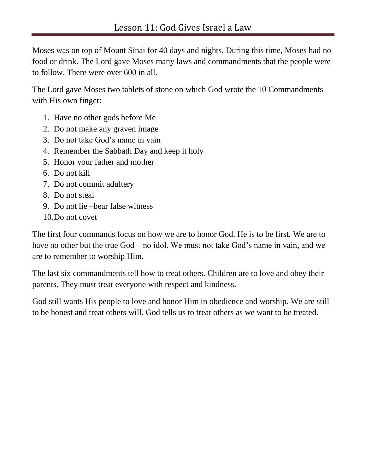Moses was on top of Mount Sinai for 40 days and nights. During this time, Moses had no food or drink. The Lord gave Moses many laws and commandments that the people were to follow. There were over 600 in all.

The Lord gave Moses two tablets of stone on which God wrote the 10 Commandments with His own finger:

- 1. Have no other gods before Me
- 2. Do not make any graven image
- 3. Do not take God's name in vain
- 4. Remember the Sabbath Day and keep it holy
- 5. Honor your father and mother
- 6. Do not kill
- 7. Do not commit adultery
- 8. Do not steal
- 9. Do not lie –bear false witness
- 10.Do not covet

The first four commands focus on how we are to honor God. He is to be first. We are to have no other but the true God – no idol. We must not take God's name in vain, and we are to remember to worship Him.

The last six commandments tell how to treat others. Children are to love and obey their parents. They must treat everyone with respect and kindness.

God still wants His people to love and honor Him in obedience and worship. We are still to be honest and treat others will. God tells us to treat others as we want to be treated.